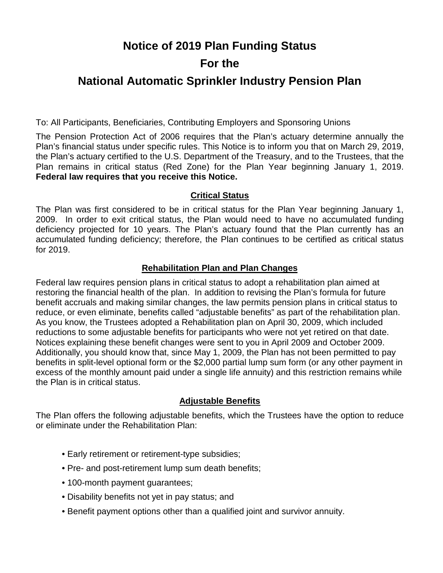# **Notice of 2019 Plan Funding Status For the**

# **National Automatic Sprinkler Industry Pension Plan**

To: All Participants, Beneficiaries, Contributing Employers and Sponsoring Unions

The Pension Protection Act of 2006 requires that the Plan's actuary determine annually the Plan's financial status under specific rules. This Notice is to inform you that on March 29, 2019, the Plan's actuary certified to the U.S. Department of the Treasury, and to the Trustees, that the Plan remains in critical status (Red Zone) for the Plan Year beginning January 1, 2019. **Federal law requires that you receive this Notice.** 

# **Critical Status**

The Plan was first considered to be in critical status for the Plan Year beginning January 1, 2009. In order to exit critical status, the Plan would need to have no accumulated funding deficiency projected for 10 years. The Plan's actuary found that the Plan currently has an accumulated funding deficiency; therefore, the Plan continues to be certified as critical status for 2019.

## **Rehabilitation Plan and Plan Changes**

Federal law requires pension plans in critical status to adopt a rehabilitation plan aimed at restoring the financial health of the plan. In addition to revising the Plan's formula for future benefit accruals and making similar changes, the law permits pension plans in critical status to reduce, or even eliminate, benefits called "adjustable benefits" as part of the rehabilitation plan. As you know, the Trustees adopted a Rehabilitation plan on April 30, 2009, which included reductions to some adjustable benefits for participants who were not yet retired on that date. Notices explaining these benefit changes were sent to you in April 2009 and October 2009. Additionally, you should know that, since May 1, 2009, the Plan has not been permitted to pay benefits in split-level optional form or the \$2,000 partial lump sum form (or any other payment in excess of the monthly amount paid under a single life annuity) and this restriction remains while the Plan is in critical status.

### **Adjustable Benefits**

The Plan offers the following adjustable benefits, which the Trustees have the option to reduce or eliminate under the Rehabilitation Plan:

- Early retirement or retirement-type subsidies;
- Pre- and post-retirement lump sum death benefits;
- 100-month payment guarantees;
- Disability benefits not yet in pay status; and
- Benefit payment options other than a qualified joint and survivor annuity.